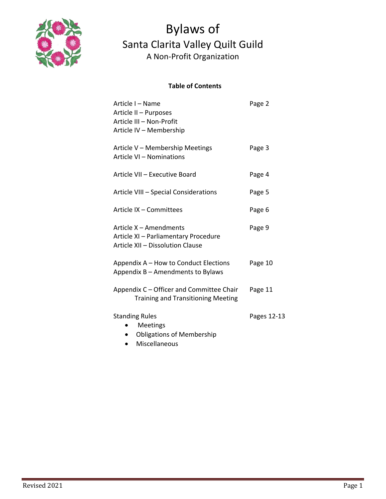

### **Table of Contents**

| Article I - Name<br>Article II - Purposes<br>Article III - Non-Profit<br>Article IV - Membership    | Page 2      |
|-----------------------------------------------------------------------------------------------------|-------------|
| Article V - Membership Meetings<br>Article VI - Nominations                                         | Page 3      |
| Article VII - Executive Board                                                                       | Page 4      |
| Article VIII - Special Considerations                                                               | Page 5      |
| Article IX - Committees                                                                             | Page 6      |
| Article X - Amendments<br>Article XI - Parliamentary Procedure<br>Article XII - Dissolution Clause  | Page 9      |
| Appendix A - How to Conduct Elections<br>Appendix B - Amendments to Bylaws                          | Page 10     |
| Appendix C - Officer and Committee Chair<br><b>Training and Transitioning Meeting</b>               | Page 11     |
| <b>Standing Rules</b><br>Meetings<br><b>Obligations of Membership</b><br>Miscellaneous<br>$\bullet$ | Pages 12-13 |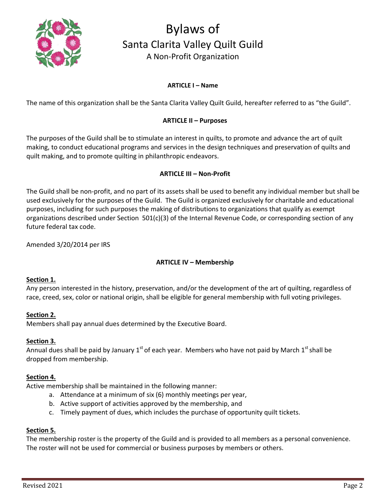

#### **ARTICLE I – Name**

The name of this organization shall be the Santa Clarita Valley Quilt Guild, hereafter referred to as "the Guild".

#### **ARTICLE II – Purposes**

The purposes of the Guild shall be to stimulate an interest in quilts, to promote and advance the art of quilt making, to conduct educational programs and services in the design techniques and preservation of quilts and quilt making, and to promote quilting in philanthropic endeavors.

#### **ARTICLE III – Non-Profit**

The Guild shall be non-profit, and no part of its assets shall be used to benefit any individual member but shall be used exclusively for the purposes of the Guild. The Guild is organized exclusively for charitable and educational purposes, including for such purposes the making of distributions to organizations that qualify as exempt organizations described under Section 501(c)(3) of the Internal Revenue Code, or corresponding section of any future federal tax code.

Amended 3/20/2014 per IRS

#### **ARTICLE IV – Membership**

#### **Section 1.**

Any person interested in the history, preservation, and/or the development of the art of quilting, regardless of race, creed, sex, color or national origin, shall be eligible for general membership with full voting privileges.

#### **Section 2.**

Members shall pay annual dues determined by the Executive Board.

#### **Section 3.**

Annual dues shall be paid by January  $1<sup>st</sup>$  of each year. Members who have not paid by March  $1<sup>st</sup>$  shall be dropped from membership.

#### **Section 4.**

Active membership shall be maintained in the following manner:

- a. Attendance at a minimum of six (6) monthly meetings per year,
- b. Active support of activities approved by the membership, and
- c. Timely payment of dues, which includes the purchase of opportunity quilt tickets.

#### **Section 5.**

The membership roster is the property of the Guild and is provided to all members as a personal convenience. The roster will not be used for commercial or business purposes by members or others.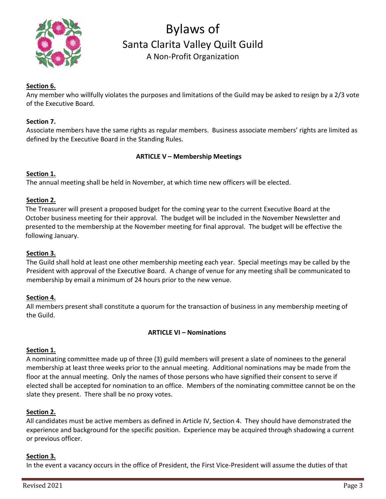

### **Section 6.**

Any member who willfully violates the purposes and limitations of the Guild may be asked to resign by a 2/3 vote of the Executive Board.

#### **Section 7.**

Associate members have the same rights as regular members. Business associate members' rights are limited as defined by the Executive Board in the Standing Rules.

#### **ARTICLE V – Membership Meetings**

#### **Section 1.**

The annual meeting shall be held in November, at which time new officers will be elected.

#### **Section 2.**

The Treasurer will present a proposed budget for the coming year to the current Executive Board at the October business meeting for their approval. The budget will be included in the November Newsletter and presented to the membership at the November meeting for final approval. The budget will be effective the following January.

#### **Section 3.**

The Guild shall hold at least one other membership meeting each year. Special meetings may be called by the President with approval of the Executive Board. A change of venue for any meeting shall be communicated to membership by email a minimum of 24 hours prior to the new venue.

#### **Section 4.**

All members present shall constitute a quorum for the transaction of business in any membership meeting of the Guild.

#### **ARTICLE VI – Nominations**

#### **Section 1.**

A nominating committee made up of three (3) guild members will present a slate of nominees to the general membership at least three weeks prior to the annual meeting. Additional nominations may be made from the floor at the annual meeting. Only the names of those persons who have signified their consent to serve if elected shall be accepted for nomination to an office. Members of the nominating committee cannot be on the slate they present. There shall be no proxy votes.

#### **Section 2.**

All candidates must be active members as defined in Article IV, Section 4. They should have demonstrated the experience and background for the specific position. Experience may be acquired through shadowing a current or previous officer.

#### **Section 3.**

In the event a vacancy occurs in the office of President, the First Vice-President will assume the duties of that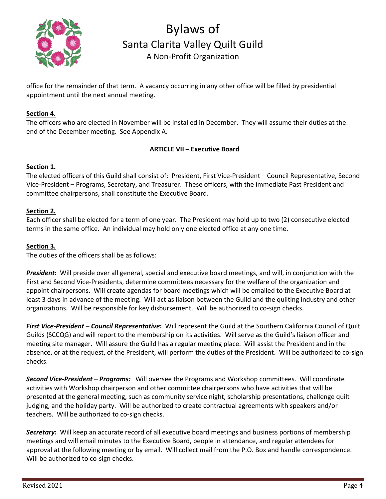

office for the remainder of that term. A vacancy occurring in any other office will be filled by presidential appointment until the next annual meeting.

### **Section 4.**

The officers who are elected in November will be installed in December. They will assume their duties at the end of the December meeting. See Appendix A.

### **ARTICLE VII – Executive Board**

#### **Section 1.**

The elected officers of this Guild shall consist of: President, First Vice-President – Council Representative, Second Vice-President – Programs, Secretary, and Treasurer. These officers, with the immediate Past President and committee chairpersons, shall constitute the Executive Board.

### **Section 2.**

Each officer shall be elected for a term of one year. The President may hold up to two (2) consecutive elected terms in the same office. An individual may hold only one elected office at any one time.

### **Section 3.**

The duties of the officers shall be as follows:

*President***:** Will preside over all general, special and executive board meetings, and will, in conjunction with the First and Second Vice-Presidents, determine committees necessary for the welfare of the organization and appoint chairpersons. Will create agendas for board meetings which will be emailed to the Executive Board at least 3 days in advance of the meeting. Will act as liaison between the Guild and the quilting industry and other organizations. Will be responsible for key disbursement. Will be authorized to co-sign checks.

*First Vice-President* – *Council Representative***:** Will represent the Guild at the Southern California Council of Quilt Guilds (SCCQG) and will report to the membership on its activities. Will serve as the Guild's liaison officer and meeting site manager. Will assure the Guild has a regular meeting place. Will assist the President and in the absence, or at the request, of the President, will perform the duties of the President. Will be authorized to co-sign checks.

*Second Vice-President* – *Programs:* Will oversee the Programs and Workshop committees. Will coordinate activities with Workshop chairperson and other committee chairpersons who have activities that will be presented at the general meeting, such as community service night, scholarship presentations, challenge quilt judging, and the holiday party. Will be authorized to create contractual agreements with speakers and/or teachers. Will be authorized to co-sign checks.

*Secretary***:** Will keep an accurate record of all executive board meetings and business portions of membership meetings and will email minutes to the Executive Board, people in attendance, and regular attendees for approval at the following meeting or by email. Will collect mail from the P.O. Box and handle correspondence. Will be authorized to co-sign checks.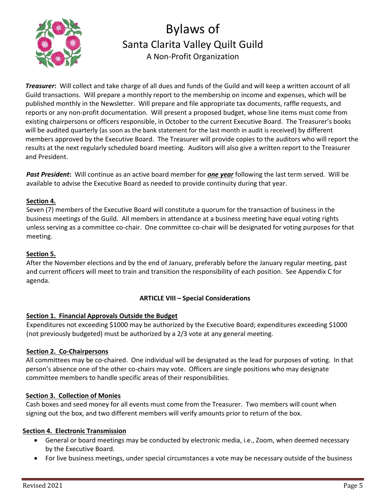

*Treasurer***:** Will collect and take charge of all dues and funds of the Guild and will keep a written account of all Guild transactions. Will prepare a monthly report to the membership on income and expenses, which will be published monthly in the Newsletter. Will prepare and file appropriate tax documents, raffle requests, and reports or any non-profit documentation. Will present a proposed budget, whose line items must come from existing chairpersons or officers responsible, in October to the current Executive Board. The Treasurer's books will be audited quarterly (as soon as the bank statement for the last month in audit is received) by different members approved by the Executive Board. The Treasurer will provide copies to the auditors who will report the results at the next regularly scheduled board meeting. Auditors will also give a written report to the Treasurer and President.

*Past President***:** Will continue as an active board member for *one year* following the last term served. Will be available to advise the Executive Board as needed to provide continuity during that year.

# **Section 4.**

Seven (7) members of the Executive Board will constitute a quorum for the transaction of business in the business meetings of the Guild. All members in attendance at a business meeting have equal voting rights unless serving as a committee co-chair. One committee co-chair will be designated for voting purposes for that meeting.

# **Section 5.**

After the November elections and by the end of January, preferably before the January regular meeting, past and current officers will meet to train and transition the responsibility of each position. See Appendix C for agenda.

# **ARTICLE VIII – Special Considerations**

# **Section 1. Financial Approvals Outside the Budget**

Expenditures not exceeding \$1000 may be authorized by the Executive Board; expenditures exceeding \$1000 (not previously budgeted) must be authorized by a 2/3 vote at any general meeting.

# **Section 2. Co-Chairpersons**

 All committees may be co-chaired. One individual will be designated as the lead for purposes of voting. In that person's absence one of the other co-chairs may vote. Officers are single positions who may designate committee members to handle specific areas of their responsibilities.

# **Section 3. Collection of Monies**

 Cash boxes and seed money for all events must come from the Treasurer. Two members will count when signing out the box, and two different members will verify amounts prior to return of the box.

# **Section 4. Electronic Transmission**

- General or board meetings may be conducted by electronic media, i.e., Zoom, when deemed necessary by the Executive Board.
- For live business meetings, under special circumstances a vote may be necessary outside of the business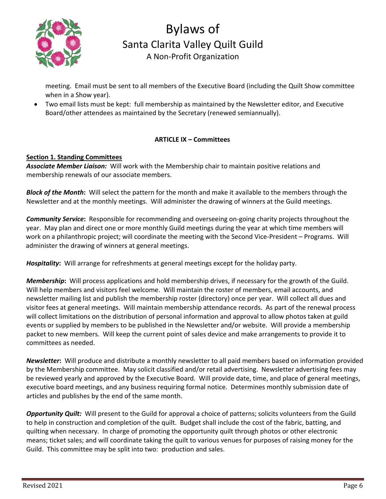

meeting. Email must be sent to all members of the Executive Board (including the Quilt Show committee when in a Show year).

• Two email lists must be kept: full membership as maintained by the Newsletter editor, and Executive Board/other attendees as maintained by the Secretary (renewed semiannually).

# **ARTICLE IX – Committees**

# **Section 1. Standing Committees**

*Associate Member Liaison:* Will work with the Membership chair to maintain positive relations and membership renewals of our associate members.

*Block of the Month***:** Will select the pattern for the month and make it available to the members through the Newsletter and at the monthly meetings. Will administer the drawing of winners at the Guild meetings.

*Community Service***:** Responsible for recommending and overseeing on-going charity projects throughout the year. May plan and direct one or more monthly Guild meetings during the year at which time members will work on a philanthropic project; will coordinate the meeting with the Second Vice-President – Programs. Will administer the drawing of winners at general meetings.

*Hospitality***:** Will arrange for refreshments at general meetings except for the holiday party.

*Membership***:** Will process applications and hold membership drives, if necessary for the growth of the Guild. Will help members and visitors feel welcome. Will maintain the roster of members, email accounts, and newsletter mailing list and publish the membership roster (directory) once per year. Will collect all dues and visitor fees at general meetings. Will maintain membership attendance records. As part of the renewal process will collect limitations on the distribution of personal information and approval to allow photos taken at guild events or supplied by members to be published in the Newsletter and/or website. Will provide a membership packet to new members. Will keep the current point of sales device and make arrangements to provide it to committees as needed.

*Newsletter***:** Will produce and distribute a monthly newsletter to all paid members based on information provided by the Membership committee. May solicit classified and/or retail advertising. Newsletter advertising fees may be reviewed yearly and approved by the Executive Board. Will provide date, time, and place of general meetings, executive board meetings, and any business requiring formal notice. Determines monthly submission date of articles and publishes by the end of the same month.

*Opportunity Quilt:* Will present to the Guild for approval a choice of patterns; solicits volunteers from the Guild to help in construction and completion of the quilt. Budget shall include the cost of the fabric, batting, and quilting when necessary. In charge of promoting the opportunity quilt through photos or other electronic means; ticket sales; and will coordinate taking the quilt to various venues for purposes of raising money for the Guild. This committee may be split into two: production and sales.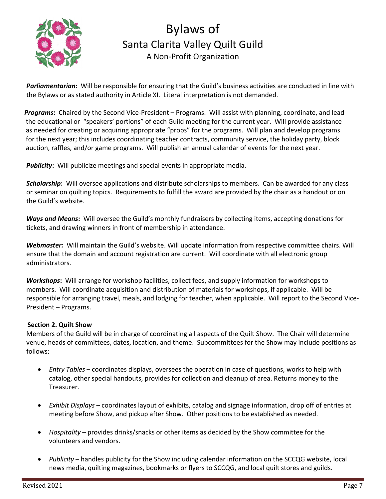

*Parliamentarian:* Will be responsible for ensuring that the Guild's business activities are conducted in line with the Bylaws or as stated authority in Article XI. Literal interpretation is not demanded.

*Programs***:** Chaired by the Second Vice-President – Programs. Will assist with planning, coordinate, and lead the educational or "speakers' portions" of each Guild meeting for the current year. Will provide assistance as needed for creating or acquiring appropriate "props" for the programs. Will plan and develop programs for the next year; this includes coordinating teacher contracts, community service, the holiday party, block auction, raffles, and/or game programs. Will publish an annual calendar of events for the next year.

**Publicity:** Will publicize meetings and special events in appropriate media.

*Scholarship***:** Will oversee applications and distribute scholarships to members. Can be awarded for any class or seminar on quilting topics. Requirements to fulfill the award are provided by the chair as a handout or on the Guild's website.

*Ways and Means***:** Will oversee the Guild's monthly fundraisers by collecting items, accepting donations for tickets, and drawing winners in front of membership in attendance.

*Webmaster:* Will maintain the Guild's website. Will update information from respective committee chairs. Will ensure that the domain and account registration are current. Will coordinate with all electronic group administrators.

*Workshops***:** Will arrange for workshop facilities, collect fees, and supply information for workshops to members. Will coordinate acquisition and distribution of materials for workshops, if applicable. Will be responsible for arranging travel, meals, and lodging for teacher, when applicable. Will report to the Second Vice-President – Programs.

#### **Section 2. Quilt Show**

Members of the Guild will be in charge of coordinating all aspects of the Quilt Show. The Chair will determine venue, heads of committees, dates, location, and theme. Subcommittees for the Show may include positions as follows:

- *Entry Tables* coordinates displays, oversees the operation in case of questions, works to help with catalog, other special handouts, provides for collection and cleanup of area. Returns money to the Treasurer.
- *Exhibit Displays* coordinates layout of exhibits, catalog and signage information, drop off of entries at meeting before Show, and pickup after Show. Other positions to be established as needed.
- *Hospitality* provides drinks/snacks or other items as decided by the Show committee for the volunteers and vendors.
- *Publicity* handles publicity for the Show including calendar information on the SCCQG website, local news media, quilting magazines, bookmarks or flyers to SCCQG, and local quilt stores and guilds.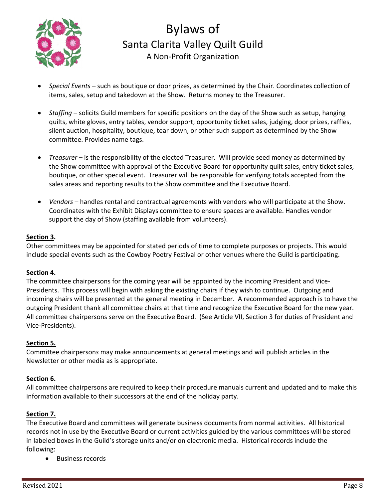

- *Special Events* such as boutique or door prizes, as determined by the Chair. Coordinates collection of items, sales, setup and takedown at the Show. Returns money to the Treasurer.
- *Staffing* solicits Guild members for specific positions on the day of the Show such as setup, hanging quilts, white gloves, entry tables, vendor support, opportunity ticket sales, judging, door prizes, raffles, silent auction, hospitality, boutique, tear down, or other such support as determined by the Show committee. Provides name tags.
- *Treasurer* is the responsibility of the elected Treasurer. Will provide seed money as determined by the Show committee with approval of the Executive Board for opportunity quilt sales, entry ticket sales, boutique, or other special event. Treasurer will be responsible for verifying totals accepted from the sales areas and reporting results to the Show committee and the Executive Board.
- *Vendors* handles rental and contractual agreements with vendors who will participate at the Show. Coordinates with the Exhibit Displays committee to ensure spaces are available. Handles vendor support the day of Show (staffing available from volunteers).

### **Section 3.**

Other committees may be appointed for stated periods of time to complete purposes or projects. This would include special events such as the Cowboy Poetry Festival or other venues where the Guild is participating.

#### **Section 4.**

The committee chairpersons for the coming year will be appointed by the incoming President and Vice-Presidents. This process will begin with asking the existing chairs if they wish to continue. Outgoing and incoming chairs will be presented at the general meeting in December. A recommended approach is to have the outgoing President thank all committee chairs at that time and recognize the Executive Board for the new year. All committee chairpersons serve on the Executive Board. (See Article VII, Section 3 for duties of President and Vice-Presidents).

# **Section 5.**

Committee chairperson*s* may make announcements at general meetings and will publish articles in the Newsletter or other media as is appropriate.

# **Section 6.**

All committee chairpersons are required to keep their procedure manuals current and updated and to make this information available to their successors at the end of the holiday party.

# **Section 7.**

The Executive Board and committees will generate business documents from normal activities. All historical records not in use by the Executive Board or current activities guided by the various committees will be stored in labeled boxes in the Guild's storage units and/or on electronic media. Historical records include the following:

• Business records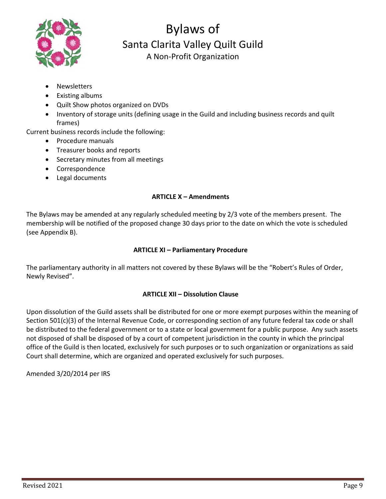

- **Newsletters**
- Existing albums
- Quilt Show photos organized on DVDs
- Inventory of storage units (defining usage in the Guild and including business records and quilt frames)

Current business records include the following:

- Procedure manuals
- Treasurer books and reports
- Secretary minutes from all meetings
- Correspondence
- Legal documents

### **ARTICLE X – Amendments**

The Bylaws may be amended at any regularly scheduled meeting by 2/3 vote of the members present. The membership will be notified of the proposed change 30 days prior to the date on which the vote is scheduled (see Appendix B).

### **ARTICLE XI – Parliamentary Procedure**

The parliamentary authority in all matters not covered by these Bylaws will be the "Robert's Rules of Order, Newly Revised".

# **ARTICLE XII – Dissolution Clause**

Upon dissolution of the Guild assets shall be distributed for one or more exempt purposes within the meaning of Section 501(c)(3) of the Internal Revenue Code, or corresponding section of any future federal tax code or shall be distributed to the federal government or to a state or local government for a public purpose. Any such assets not disposed of shall be disposed of by a court of competent jurisdiction in the county in which the principal office of the Guild is then located, exclusively for such purposes or to such organization or organizations as said Court shall determine, which are organized and operated exclusively for such purposes.

Amended 3/20/2014 per IRS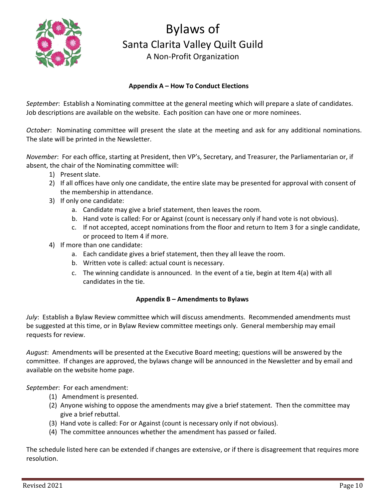

### **Appendix A – How To Conduct Elections**

*September*: Establish a Nominating committee at the general meeting which will prepare a slate of candidates. Job descriptions are available on the website. Each position can have one or more nominees.

*October*: Nominating committee will present the slate at the meeting and ask for any additional nominations. The slate will be printed in the Newsletter.

*November*: For each office, starting at President, then VP's, Secretary, and Treasurer, the Parliamentarian or, if absent, the chair of the Nominating committee will:

- 1) Present slate.
- 2) If all offices have only one candidate, the entire slate may be presented for approval with consent of the membership in attendance.
- 3) If only one candidate:
	- a. Candidate may give a brief statement, then leaves the room.
	- b. Hand vote is called: For or Against (count is necessary only if hand vote is not obvious).
	- c. If not accepted, accept nominations from the floor and return to Item 3 for a single candidate, or proceed to Item 4 if more.
- 4) If more than one candidate:
	- a. Each candidate gives a brief statement, then they all leave the room.
	- b. Written vote is called: actual count is necessary.
	- c. The winning candidate is announced. In the event of a tie, begin at Item 4(a) with all candidates in the tie.

#### **Appendix B – Amendments to Bylaws**

*July*: Establish a Bylaw Review committee which will discuss amendments. Recommended amendments must be suggested at this time, or in Bylaw Review committee meetings only. General membership may email requests for review.

*August*: Amendments will be presented at the Executive Board meeting; questions will be answered by the committee. If changes are approved, the bylaws change will be announced in the Newsletter and by email and available on the website home page.

*September*: For each amendment:

- (1) Amendment is presented.
- (2) Anyone wishing to oppose the amendments may give a brief statement. Then the committee may give a brief rebuttal.
- (3) Hand vote is called: For or Against (count is necessary only if not obvious).
- (4) The committee announces whether the amendment has passed or failed.

The schedule listed here can be extended if changes are extensive, or if there is disagreement that requires more resolution.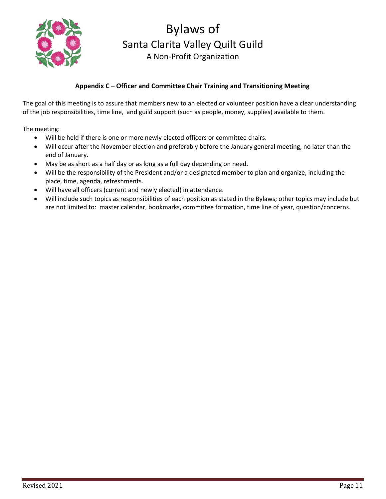

# **Appendix C – Officer and Committee Chair Training and Transitioning Meeting**

The goal of this meeting is to assure that members new to an elected or volunteer position have a clear understanding of the job responsibilities, time line, and guild support (such as people, money, supplies) available to them.

The meeting:

- Will be held if there is one or more newly elected officers or committee chairs.
- Will occur after the November election and preferably before the January general meeting, no later than the end of January.
- May be as short as a half day or as long as a full day depending on need.
- Will be the responsibility of the President and/or a designated member to plan and organize, including the place, time, agenda, refreshments.
- Will have all officers (current and newly elected) in attendance.
- Will include such topics as responsibilities of each position as stated in the Bylaws; other topics may include but are not limited to: master calendar, bookmarks, committee formation, time line of year, question/concerns.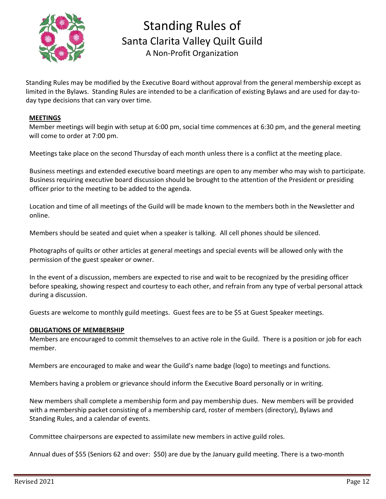

Standing Rules of Santa Clarita Valley Quilt Guild A Non-Profit Organization

Standing Rules may be modified by the Executive Board without approval from the general membership except as limited in the Bylaws. Standing Rules are intended to be a clarification of existing Bylaws and are used for day-today type decisions that can vary over time.

#### **MEETINGS**

 Member meetings will begin with setup at 6:00 pm, social time commences at 6:30 pm, and the general meeting will come to order at 7:00 pm.

Meetings take place on the second Thursday of each month unless there is a conflict at the meeting place.

Business meetings and extended executive board meetings are open to any member who may wish to participate. Business requiring executive board discussion should be brought to the attention of the President or presiding officer prior to the meeting to be added to the agenda.

Location and time of all meetings of the Guild will be made known to the members both in the Newsletter and online.

Members should be seated and quiet when a speaker is talking. All cell phones should be silenced.

Photographs of quilts or other articles at general meetings and special events will be allowed only with the permission of the guest speaker or owner.

In the event of a discussion, members are expected to rise and wait to be recognized by the presiding officer before speaking, showing respect and courtesy to each other, and refrain from any type of verbal personal attack during a discussion.

Guests are welcome to monthly guild meetings. Guest fees are to be \$5 at Guest Speaker meetings.

#### **OBLIGATIONS OF MEMBERSHIP**

Members are encouraged to commit themselves to an active role in the Guild. There is a position or job for each member.

Members are encouraged to make and wear the Guild's name badge (logo) to meetings and functions.

Members having a problem or grievance should inform the Executive Board personally or in writing.

New members shall complete a membership form and pay membership dues. New members will be provided with a membership packet consisting of a membership card, roster of members (directory), Bylaws and Standing Rules, and a calendar of events.

Committee chairpersons are expected to assimilate new members in active guild roles.

Annual dues of \$55 (Seniors 62 and over: \$50) are due by the January guild meeting. There is a two-month